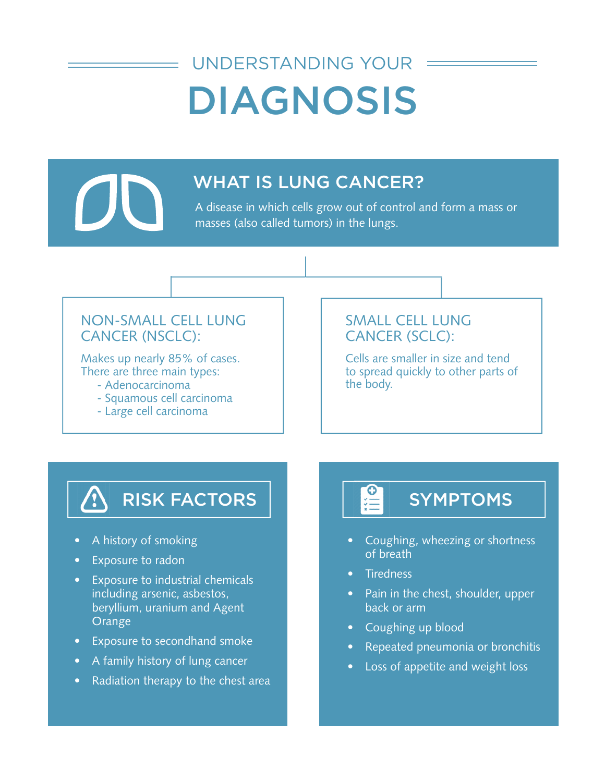# DIAGNOSIS UNDERSTANDING YOUR



## WHAT IS LUNG CANCER?

A disease in which cells grow out of control and form a mass or masses (also called tumors) in the lungs.

#### NON-SMALL CELL LUNG CANCER (NSCLC):

Makes up nearly 85% of cases. There are three main types:

- Adenocarcinoma the body.
- Squamous cell carcinoma
- Large cell carcinoma

#### SMALL CELL LUNG CANCER (SCLC):

Cells are smaller in size and tend to spread quickly to other parts of

# RISK FACTORS

- A history of smoking
- Exposure to radon
- Exposure to industrial chemicals including arsenic, asbestos, beryllium, uranium and Agent Orange
- Exposure to secondhand smoke
- A family history of lung cancer
- Radiation therapy to the chest area

# SYMPTOMS

- Coughing, wheezing or shortness of breath
- Tiredness
- Pain in the chest, shoulder, upper back or arm
- Coughing up blood
- Repeated pneumonia or bronchitis
- Loss of appetite and weight loss